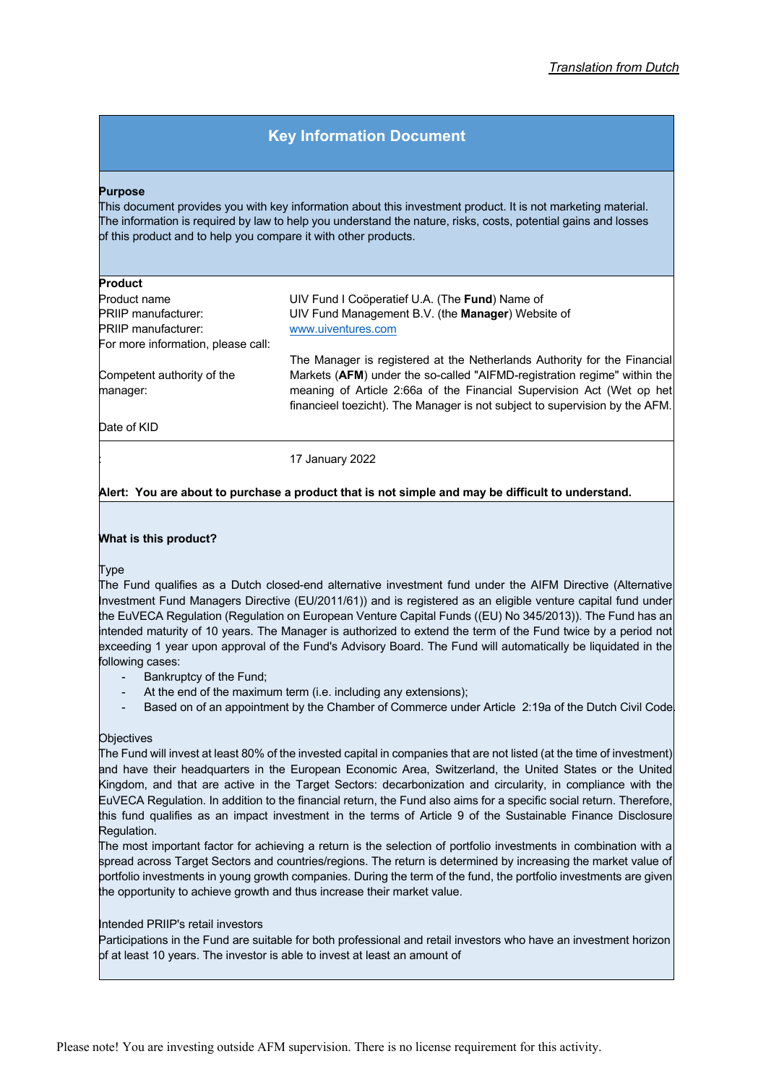# **Key Information Document**

#### **Purpose**

This document provides you with key information about this investment product. It is not marketing material. The information is required by law to help you understand the nature, risks, costs, potential gains and losses of this product and to help you compare it with other products.

#### **Product**

| Product                            |                                                                             |
|------------------------------------|-----------------------------------------------------------------------------|
| Product name                       | UIV Fund I Cooperatief U.A. (The <b>Fund</b> ) Name of                      |
| PRIIP manufacturer:                | UIV Fund Management B.V. (the Manager) Website of                           |
| PRIIP manufacturer:                | www.uiventures.com                                                          |
| For more information, please call: |                                                                             |
|                                    | The Manager is registered at the Netherlands Authority for the Financial    |
| Competent authority of the         | Markets (AFM) under the so-called "AIFMD-registration regime" within the    |
| manager:                           | meaning of Article 2:66a of the Financial Supervision Act (Wet op het       |
|                                    | financieel toezicht). The Manager is not subject to supervision by the AFM. |
| Date of KID                        |                                                                             |

: 17 January 2022

# **Alert: You are about to purchase a product that is not simple and may be difficult to understand.**

#### **What is this product?**

Type

The Fund qualifies as a Dutch closed-end alternative investment fund under the AIFM Directive (Alternative Investment Fund Managers Directive (EU/2011/61)) and is registered as an eligible venture capital fund under the EuVECA Regulation (Regulation on European Venture Capital Funds ((EU) No 345/2013)). The Fund has an intended maturity of 10 years. The Manager is authorized to extend the term of the Fund twice by a period not exceeding 1 year upon approval of the Fund's Advisory Board. The Fund will automatically be liquidated in the following cases:

- Bankruptcy of the Fund;
- At the end of the maximum term (i.e. including any extensions);
- Based on of an appointment by the Chamber of Commerce under Article 2:19a of the Dutch Civil Code.

## **Objectives**

The Fund will invest at least 80% of the invested capital in companies that are not listed (at the time of investment) and have their headquarters in the European Economic Area, Switzerland, the United States or the United Kingdom, and that are active in the Target Sectors: decarbonization and circularity, in compliance with the EuVECA Regulation. In addition to the financial return, the Fund also aims for a specific social return. Therefore, this fund qualifies as an impact investment in the terms of Article 9 of the Sustainable Finance Disclosure Regulation.

The most important factor for achieving a return is the selection of portfolio investments in combination with a spread across Target Sectors and countries/regions. The return is determined by increasing the market value of portfolio investments in young growth companies. During the term of the fund, the portfolio investments are given the opportunity to achieve growth and thus increase their market value.

#### Intended PRIIP's retail investors

Participations in the Fund are suitable for both professional and retail investors who have an investment horizon  $b$ f at least 10 years. The investor is able to invest at least an amount of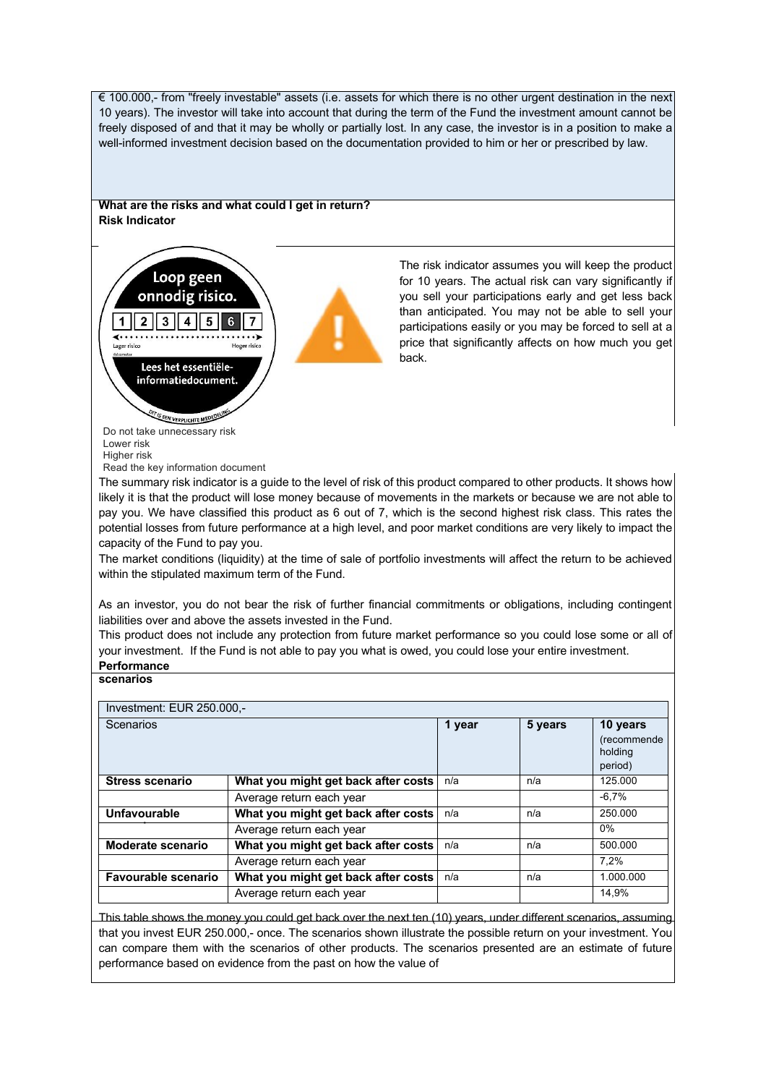€ 100.000,- from "freely investable" assets (i.e. assets for which there is no other urgent destination in the next 10 years). The investor will take into account that during the term of the Fund the investment amount cannot be freely disposed of and that it may be wholly or partially lost. In any case, the investor is in a position to make a well-informed investment decision based on the documentation provided to him or her or prescribed by law.

## **What are the risks and what could I get in return? Risk Indicator**



The risk indicator assumes you will keep the product for 10 years. The actual risk can vary significantly if you sell your participations early and get less back than anticipated. You may not be able to sell your participations easily or you may be forced to sell at a price that significantly affects on how much you get back.

Do not take unnecessary risk Lower risk Higher risk

Read the key information document

The summary risk indicator is a guide to the level of risk of this product compared to other products. It shows how likely it is that the product will lose money because of movements in the markets or because we are not able to pay you. We have classified this product as 6 out of 7, which is the second highest risk class. This rates the potential losses from future performance at a high level, and poor market conditions are very likely to impact the capacity of the Fund to pay you.

The market conditions (liquidity) at the time of sale of portfolio investments will affect the return to be achieved within the stipulated maximum term of the Fund.

As an investor, you do not bear the risk of further financial commitments or obligations, including contingent liabilities over and above the assets invested in the Fund.

This product does not include any protection from future market performance so you could lose some or all of your investment. If the Fund is not able to pay you what is owed, you could lose your entire investment. **Performance** 

## **scenarios**

| Investment: EUR 250.000,- |                                     |        |         |                                               |
|---------------------------|-------------------------------------|--------|---------|-----------------------------------------------|
| Scenarios                 |                                     | 1 year | 5 years | 10 years<br>(recommende<br>holding<br>period) |
| <b>Stress scenario</b>    | What you might get back after costs | n/a    | n/a     | 125.000                                       |
|                           | Average return each year            |        |         | $-6,7%$                                       |
| Unfavourable              | What you might get back after costs | n/a    | n/a     | 250.000                                       |
|                           | Average return each year            |        |         | $0\%$                                         |
| Moderate scenario         | What you might get back after costs | n/a    | n/a     | 500.000                                       |
|                           | Average return each year            |        |         | 7.2%                                          |
| Favourable scenario       | What you might get back after costs | n/a    | n/a     | 1.000.000                                     |
|                           | Average return each year            |        |         | 14,9%                                         |

This table shows the money you could get back over the next ten (10) years, under different scenarios, assuming that you invest EUR 250.000,- once. The scenarios shown illustrate the possible return on your investment. You can compare them with the scenarios of other products. The scenarios presented are an estimate of future performance based on evidence from the past on how the value of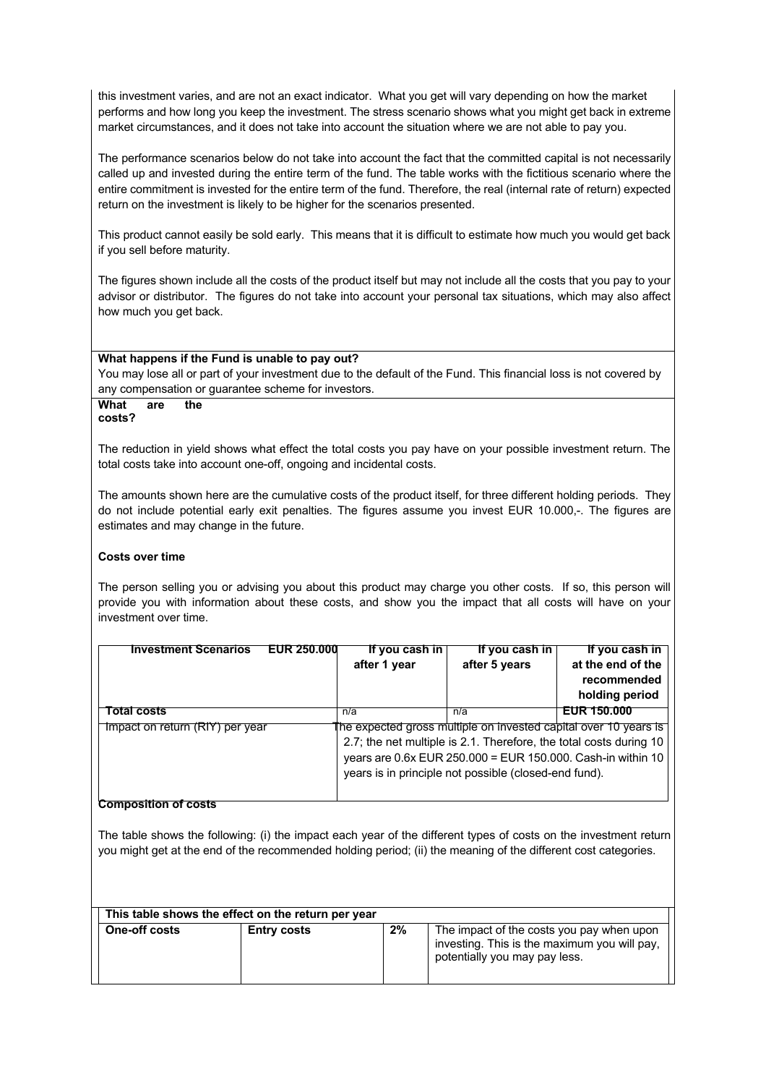this investment varies, and are not an exact indicator. What you get will vary depending on how the market performs and how long you keep the investment. The stress scenario shows what you might get back in extreme market circumstances, and it does not take into account the situation where we are not able to pay you.

The performance scenarios below do not take into account the fact that the committed capital is not necessarily called up and invested during the entire term of the fund. The table works with the fictitious scenario where the entire commitment is invested for the entire term of the fund. Therefore, the real (internal rate of return) expected return on the investment is likely to be higher for the scenarios presented.

This product cannot easily be sold early. This means that it is difficult to estimate how much you would get back if you sell before maturity.

The figures shown include all the costs of the product itself but may not include all the costs that you pay to your advisor or distributor. The figures do not take into account your personal tax situations, which may also affect how much you get back.

#### **What happens if the Fund is unable to pay out?**

You may lose all or part of your investment due to the default of the Fund. This financial loss is not covered by any compensation or guarantee scheme for investors.

#### **What are the costs?**

The reduction in yield shows what effect the total costs you pay have on your possible investment return. The total costs take into account one-off, ongoing and incidental costs.

The amounts shown here are the cumulative costs of the product itself, for three different holding periods. They do not include potential early exit penalties. The figures assume you invest EUR 10.000,-. The figures are estimates and may change in the future.

## **Costs over time**

The person selling you or advising you about this product may charge you other costs. If so, this person will provide you with information about these costs, and show you the impact that all costs will have on your investment over time.

| <b>Investment Scenarios</b><br>EUR 250.000 | If you cash in<br>after 1 year                                                                                                                                                                                                                                 | If you cash in<br>after 5 years | If you cash in<br>at the end of the<br>recommended<br>holding period |
|--------------------------------------------|----------------------------------------------------------------------------------------------------------------------------------------------------------------------------------------------------------------------------------------------------------------|---------------------------------|----------------------------------------------------------------------|
| <b>Total costs</b>                         | n/a                                                                                                                                                                                                                                                            | n/a                             | EUR 150.000                                                          |
| Impact on return (RIY) per year            | The expected gross multiple on invested capital over 10 years is<br>2.7; the net multiple is 2.1. Therefore, the total costs during 10<br>years are 0.6x EUR 250.000 = EUR 150.000. Cash-in within 10<br>years is in principle not possible (closed-end fund). |                                 |                                                                      |

## **Composition of costs**

The table shows the following: (i) the impact each year of the different types of costs on the investment return you might get at the end of the recommended holding period; (ii) the meaning of the different cost categories.

|                      | This table shows the effect on the return per year |    |                                                                                                                            |
|----------------------|----------------------------------------------------|----|----------------------------------------------------------------------------------------------------------------------------|
| <b>One-off costs</b> | <b>Entry costs</b>                                 | 2% | The impact of the costs you pay when upon<br>investing. This is the maximum you will pay.<br>potentially you may pay less. |